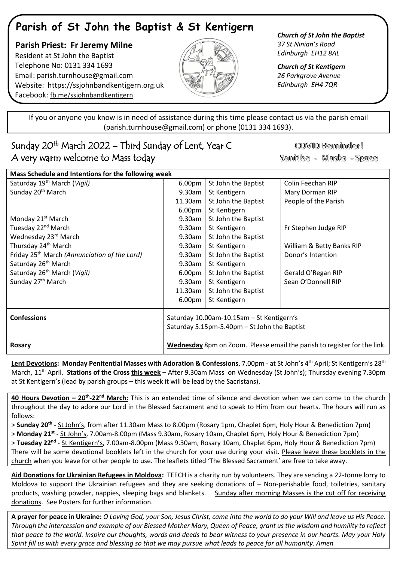## **Parish of St John the Baptist & St Kentigern**

 **Parish Priest: Fr Jeremy Milne** Resident at St John the Baptist Telephone No: 0131 334 1693 Email: [parish.turnhouse@gmail.com](mailto:parish.turnhouse@gmail.com)  Website: [https://ssjohnbandkentigern.org.uk](https://ssjohnbandkentigern.org.uk/) Facebook: [fb.me/ssjohnbandkentigern](https://fb.me/ssjohnbandkentigern)



*Church of St John the Baptist 37 St Ninian's Road Edinburgh EH12 8AL*

*Church of St Kentigern 26 Parkgrove Avenue Edinburgh EH4 7QR*

֡֡֡֡֡ If you or anyone you know is in need of assistance during this time please contact us via the parish email (parish.turnhouse@gmail.com) or phone (0131 334 1693).

## I Sunday 20th March 2022 – Third Sunday of Lent, Year C A very warm welcome to Mass today

COVID Reminder! Sanitise - Masks - Space

| Mass Schedule and Intentions for the following week      |                                                                          |                     |                           |
|----------------------------------------------------------|--------------------------------------------------------------------------|---------------------|---------------------------|
| Saturday 19 <sup>th</sup> March (Vigil)                  | 6.00pm                                                                   | St John the Baptist | Colin Feechan RIP         |
| Sunday 20 <sup>th</sup> March                            | 9.30am                                                                   | St Kentigern        | Mary Dorman RIP           |
|                                                          | 11.30am                                                                  | St John the Baptist | People of the Parish      |
|                                                          | 6.00 <sub>pm</sub>                                                       | St Kentigern        |                           |
| Monday 21 <sup>st</sup> March                            | 9.30am                                                                   | St John the Baptist |                           |
| Tuesday 22 <sup>nd</sup> March                           | 9.30am                                                                   | St Kentigern        | Fr Stephen Judge RIP      |
| Wednesday 23rd March                                     | 9.30am                                                                   | St John the Baptist |                           |
| Thursday 24 <sup>th</sup> March                          | 9.30am                                                                   | St Kentigern        | William & Betty Banks RIP |
| Friday 25 <sup>th</sup> March (Annunciation of the Lord) | 9.30am                                                                   | St John the Baptist | Donor's Intention         |
| Saturday 26 <sup>th</sup> March                          | 9.30am                                                                   | St Kentigern        |                           |
| Saturday 26 <sup>th</sup> March (Vigil)                  | 6.00 <sub>pm</sub>                                                       | St John the Baptist | Gerald O'Regan RIP        |
| Sunday 27 <sup>th</sup> March                            | 9.30am                                                                   | St Kentigern        | Sean O'Donnell RIP        |
|                                                          | 11.30am                                                                  | St John the Baptist |                           |
|                                                          | 6.00 <sub>pm</sub>                                                       | St Kentigern        |                           |
| <b>Confessions</b>                                       | Saturday 10.00am-10.15am - St Kentigern's                                |                     |                           |
|                                                          | Saturday 5.15pm-5.40pm - St John the Baptist                             |                     |                           |
| <b>Rosary</b>                                            | Wednesday 8pm on Zoom. Please email the parish to register for the link. |                     |                           |

**Lent Devotions: Monday Penitential Masses with Adoration & Confessions**, 7.00pm - at St John's 4 th April; St Kentigern's 28th March, 11th April. **Stations of the Cross this week** – After 9.30am Mass on Wednesday (St John's); Thursday evening 7.30pm at St Kentigern's (lead by parish groups – this week it will be lead by the Sacristans).

**40 Hours Devotion – 20th -22nd March:** This is an extended time of silence and devotion when we can come to the church throughout the day to adore our Lord in the Blessed Sacrament and to speak to Him from our hearts. The hours will run as follows:

> **Sunday 20th** - St John's, from after 11.30am Mass to 8.00pm (Rosary 1pm, Chaplet 6pm, Holy Hour & Benediction 7pm) > **Monday 21st** - St John's, 7.00am-8.00pm (Mass 9.30am, Rosary 10am, Chaplet 6pm, Holy Hour & Benediction 7pm) > Tuesday 22<sup>nd</sup> - <u>St Kentigern's</u>, 7.00am-8.00pm (Mass 9.30am, Rosary 10am, Chaplet 6pm, Holy Hour & Benediction 7pm) There will be some devotional booklets left in the church for your use during your visit. Please leave these booklets in the church when you leave for other people to use. The leaflets titled 'The Blessed Sacrament' are free to take away.

**Aid Donations for Ukrainian Refugees in Moldova:** TEECH is a charity run by volunteers. They are sending a 22-tonne lorry to Moldova to support the Ukrainian refugees and they are seeking donations of – Non-perishable food, toiletries, sanitary products, washing powder, nappies, sleeping bags and blankets. Sunday after morning Masses is the cut off for receiving donations. See Posters for further information.

**A prayer for peace in Ukraine:** *O Loving God, your Son, Jesus Christ, came into the world to do your Will and leave us His Peace. Through the intercession and example of our Blessed Mother Mary, Queen of Peace, grant us the wisdom and humility to reflect that peace to the world. Inspire our thoughts, words and deeds to bear witness to your presence in our hearts. May your Holy Spirit fill us with every grace and blessing so that we may pursue what leads to peace for all humanity. Amen*